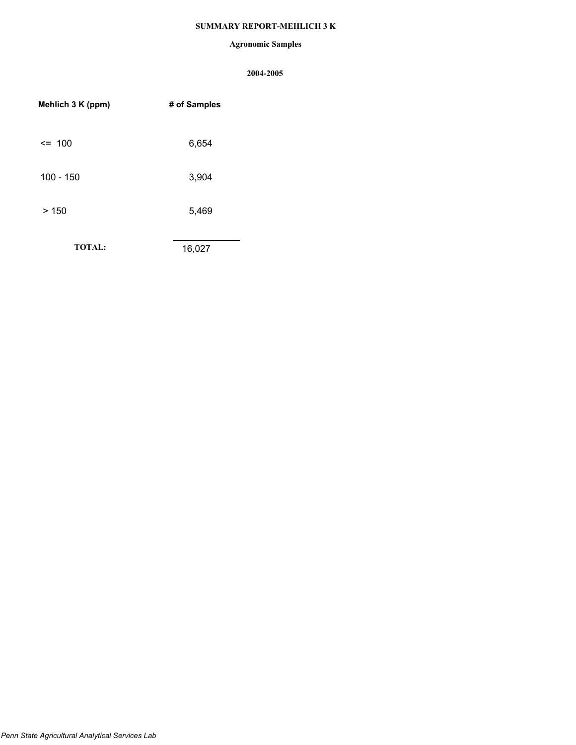# **SUMMARY REPORT-MEHLICH 3 K**

## **Agronomic Samples**

| Mehlich 3 K (ppm) | # of Samples |
|-------------------|--------------|
| $\leq$ 100        | 6,654        |
| $100 - 150$       | 3,904        |
| >150              | 5,469        |
| <b>TOTAL:</b>     | 16,027       |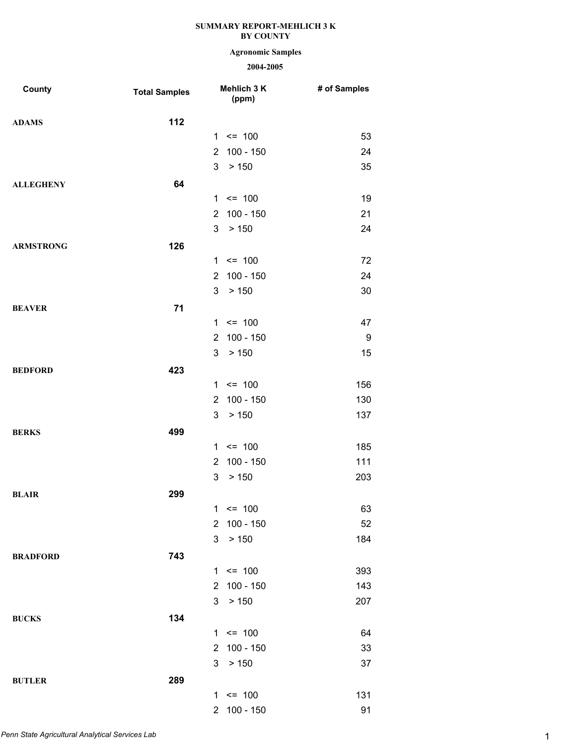## **Agronomic Samples**

| County           | <b>Total Samples</b> |                       | Mehlich 3 K<br>(ppm) | # of Samples |
|------------------|----------------------|-----------------------|----------------------|--------------|
| <b>ADAMS</b>     | 112                  |                       |                      |              |
|                  |                      |                       | $1 \le 100$          | 53           |
|                  |                      | $\mathbf{2}^{\circ}$  | $100 - 150$          | 24           |
|                  |                      | 3                     | > 150                | 35           |
| <b>ALLEGHENY</b> | 64                   |                       |                      |              |
|                  |                      |                       | $1 \le 100$          | 19           |
|                  |                      | $\mathbf{2}^{\prime}$ | 100 - 150            | 21           |
|                  |                      | 3                     | > 150                | 24           |
| <b>ARMSTRONG</b> | 126                  |                       |                      |              |
|                  |                      |                       | $1 \le 100$          | 72           |
|                  |                      | $\overline{2}$        | $100 - 150$          | 24           |
|                  |                      | 3                     | > 150                | 30           |
| <b>BEAVER</b>    | 71                   |                       |                      |              |
|                  |                      |                       | $1 \le 100$          | 47           |
|                  |                      | $\mathbf{2}^{\prime}$ | 100 - 150            | 9            |
|                  |                      | 3                     | > 150                | 15           |
| <b>BEDFORD</b>   | 423                  |                       |                      |              |
|                  |                      |                       | $1 \le 100$          | 156          |
|                  |                      | $\overline{2}$        | $100 - 150$          | 130          |
|                  |                      | 3                     | > 150                | 137          |
| <b>BERKS</b>     | 499                  |                       |                      |              |
|                  |                      |                       | $1 \le 100$          | 185          |
|                  |                      | $\overline{2}$        | $100 - 150$          | 111          |
|                  |                      | 3                     | > 150                | 203          |
| <b>BLAIR</b>     | 299                  |                       |                      |              |
|                  |                      |                       | $1 \le 100$          | 63           |
|                  |                      |                       | 2 100 - 150          | 52           |
|                  |                      | 3                     | > 150                | 184          |
| <b>BRADFORD</b>  | 743                  |                       |                      |              |
|                  |                      |                       | $1 \le 100$          | 393          |
|                  |                      | $2^{\circ}$           | 100 - 150            | 143          |
|                  |                      | 3                     | > 150                | 207          |
| <b>BUCKS</b>     | 134                  |                       |                      |              |
|                  |                      |                       | $1 \le 100$          | 64           |
|                  |                      |                       | 2 100 - 150          | 33           |
|                  |                      | 3                     | > 150                | 37           |
| <b>BUTLER</b>    | 289                  |                       |                      |              |
|                  |                      |                       | $1 \le 100$          | 131          |
|                  |                      |                       | 2 100 - 150          | 91           |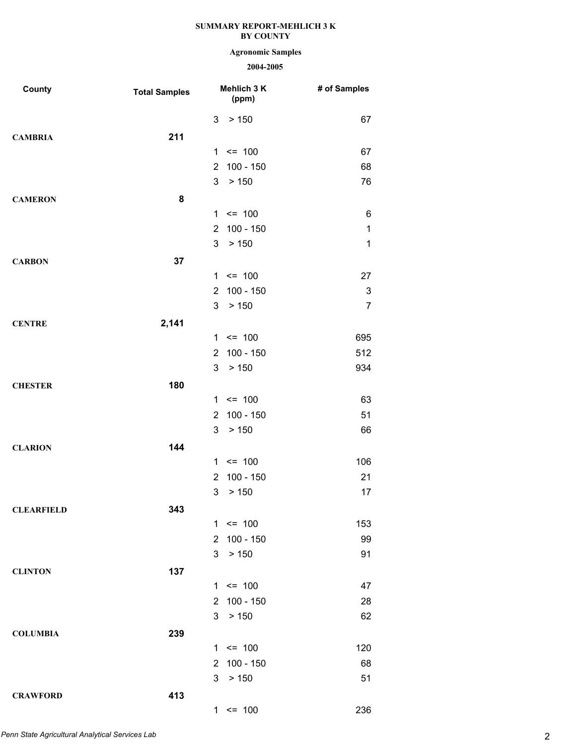## **Agronomic Samples**

| County            | <b>Total Samples</b> | Mehlich 3 K<br>(ppm)          | # of Samples   |
|-------------------|----------------------|-------------------------------|----------------|
|                   |                      | 3<br>> 150                    | 67             |
| <b>CAMBRIA</b>    | 211                  |                               |                |
|                   |                      | $\leq$ 100<br>1               | 67             |
|                   |                      | 100 - 150<br>$\overline{2}$   | 68             |
|                   |                      | 3<br>> 150                    | 76             |
| <b>CAMERON</b>    | 8                    |                               |                |
|                   |                      | $1 \le 100$                   | 6              |
|                   |                      | $100 - 150$<br>$\overline{2}$ | $\mathbf 1$    |
|                   |                      | 3<br>> 150                    | $\mathbf{1}$   |
| <b>CARBON</b>     | 37                   |                               |                |
|                   |                      | $1 \le 100$                   | 27             |
|                   |                      | $100 - 150$<br>$\overline{2}$ | $\sqrt{3}$     |
|                   |                      | 3<br>> 150                    | $\overline{7}$ |
| <b>CENTRE</b>     | 2,141                |                               |                |
|                   |                      | $1 \le 100$                   | 695            |
|                   |                      | $100 - 150$<br>$\overline{2}$ | 512            |
|                   |                      | 3<br>> 150                    | 934            |
| <b>CHESTER</b>    | 180                  |                               |                |
|                   |                      | $1 \le 100$                   | 63             |
|                   |                      | 100 - 150<br>$\overline{2}$   | 51             |
|                   |                      | 3<br>> 150                    | 66             |
| <b>CLARION</b>    | 144                  |                               |                |
|                   |                      | $\leq$ 100<br>1               | 106            |
|                   |                      | $100 - 150$<br>2              | 21             |
|                   |                      | 3<br>> 150                    | 17             |
| <b>CLEARFIELD</b> | 343                  |                               |                |
|                   |                      | $1 \le 100$                   | 153            |
|                   |                      | 100 - 150<br>$\overline{2}$   | 99             |
|                   |                      | 3<br>> 150                    | 91             |
| <b>CLINTON</b>    | 137                  |                               |                |
|                   |                      | $1 \le 100$                   | 47             |
|                   |                      | 100 - 150<br>2                | 28             |
|                   |                      | 3<br>> 150                    | 62             |
| <b>COLUMBIA</b>   | 239                  |                               |                |
|                   |                      | $1 \le 100$                   | 120            |
|                   |                      | 100 - 150<br>$\overline{2}$   | 68             |
|                   |                      | 3<br>> 150                    | 51             |
| <b>CRAWFORD</b>   | 413                  |                               |                |
|                   |                      | $1 \le 100$                   | 236            |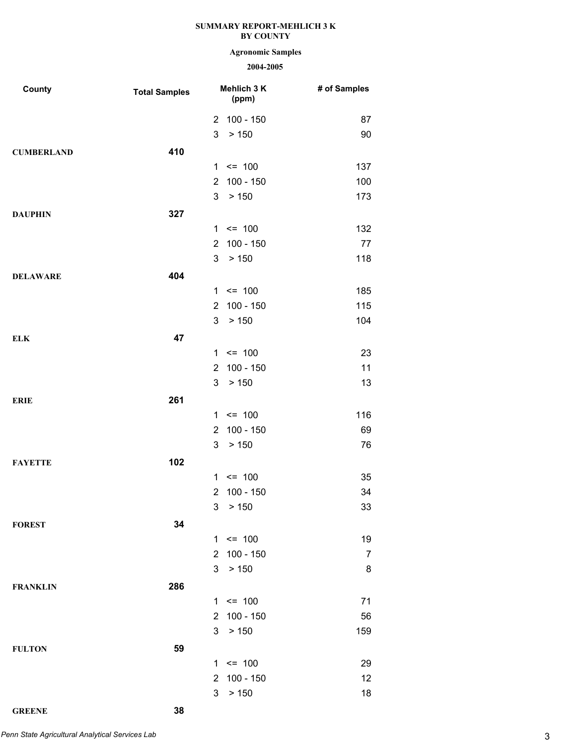# **Agronomic Samples**

| County            | <b>Total Samples</b> |                | Mehlich 3 K<br>(ppm) | # of Samples   |
|-------------------|----------------------|----------------|----------------------|----------------|
|                   |                      |                | 2 100 - 150          | 87             |
|                   |                      | 3              | > 150                | 90             |
| <b>CUMBERLAND</b> | 410                  |                |                      |                |
|                   |                      |                | $1 \le 100$          | 137            |
|                   |                      | $\overline{2}$ | 100 - 150            | 100            |
|                   |                      | 3              | > 150                | 173            |
| <b>DAUPHIN</b>    | 327                  |                |                      |                |
|                   |                      |                | $1 \le 100$          | 132            |
|                   |                      | $\overline{2}$ | 100 - 150            | 77             |
|                   |                      | 3              | > 150                | 118            |
| <b>DELAWARE</b>   | 404                  |                |                      |                |
|                   |                      |                | $1 \le 100$          | 185            |
|                   |                      | $\overline{2}$ | 100 - 150            | 115            |
|                   |                      | 3              | > 150                | 104            |
| <b>ELK</b>        | 47                   |                |                      |                |
|                   |                      |                | $1 \le 100$          | 23             |
|                   |                      | $\overline{2}$ | 100 - 150            | 11             |
|                   |                      | 3              | > 150                | 13             |
| <b>ERIE</b>       | 261                  |                |                      |                |
|                   |                      |                | $1 \le 100$          | 116            |
|                   |                      | $\overline{2}$ | 100 - 150            | 69             |
|                   |                      | 3              | > 150                | 76             |
| <b>FAYETTE</b>    | 102                  |                |                      |                |
|                   |                      |                | $1 \le 100$          | 35             |
|                   |                      | $\overline{2}$ | 100 - 150            | 34             |
|                   |                      | 3 <sup>1</sup> | > 150                | 33             |
| <b>FOREST</b>     | 34                   |                |                      |                |
|                   |                      |                | $1 \le 100$          | 19             |
|                   |                      | $\overline{2}$ | 100 - 150            | $\overline{7}$ |
|                   |                      | 3              | > 150                | 8              |
| <b>FRANKLIN</b>   | 286                  |                |                      |                |
|                   |                      |                | $1 \le 100$          | 71             |
|                   |                      | $\overline{2}$ | 100 - 150            | 56             |
|                   |                      | 3              | > 150                | 159            |
| <b>FULTON</b>     | 59                   |                |                      |                |
|                   |                      |                | $1 \le 100$          | 29             |
|                   |                      | $\overline{2}$ | 100 - 150            | 12             |
|                   |                      | 3              | > 150                | 18             |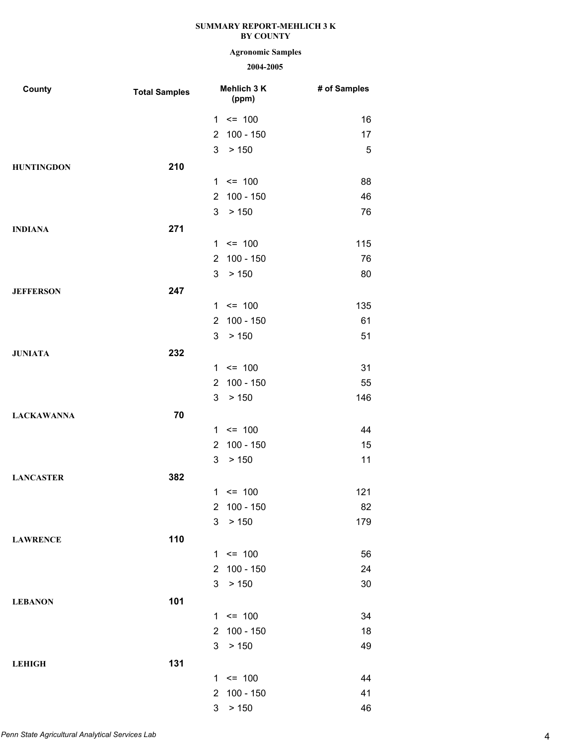## **Agronomic Samples**

| County            | <b>Total Samples</b> |                | Mehlich 3 K<br>(ppm) | # of Samples |
|-------------------|----------------------|----------------|----------------------|--------------|
|                   |                      |                | $1 \le 100$          | 16           |
|                   |                      | $\overline{2}$ | 100 - 150            | 17           |
|                   |                      | 3              | > 150                | 5            |
| <b>HUNTINGDON</b> | 210                  |                |                      |              |
|                   |                      |                | $1 \le 100$          | 88           |
|                   |                      | $\overline{2}$ | $100 - 150$          | 46           |
|                   |                      | 3              | > 150                | 76           |
| <b>INDIANA</b>    | 271                  |                |                      |              |
|                   |                      |                | $1 \le 100$          | 115          |
|                   |                      | $\overline{2}$ | $100 - 150$          | 76           |
|                   |                      | 3              | > 150                | 80           |
| <b>JEFFERSON</b>  | 247                  |                |                      |              |
|                   |                      |                | $1 \le 100$          | 135          |
|                   |                      | $\overline{2}$ | $100 - 150$          | 61           |
|                   |                      | 3              | > 150                | 51           |
| <b>JUNIATA</b>    | 232                  |                |                      |              |
|                   |                      |                | $1 \le 100$          | 31           |
|                   |                      | $\overline{2}$ | $100 - 150$          | 55           |
|                   |                      | 3              | > 150                | 146          |
| <b>LACKAWANNA</b> | 70                   |                |                      |              |
|                   |                      |                | $1 \le 100$          | 44           |
|                   |                      | $\overline{2}$ | $100 - 150$          | 15           |
|                   |                      | 3              | > 150                | 11           |
| <b>LANCASTER</b>  | 382                  |                |                      |              |
|                   |                      |                | $1 \le 100$          | 121          |
|                   |                      | $\overline{2}$ | $100 - 150$          | 82           |
|                   |                      | 3              | > 150                | 179          |
| <b>LAWRENCE</b>   | 110                  |                |                      |              |
|                   |                      |                | $1 \le 100$          | 56           |
|                   |                      | $\overline{2}$ | $100 - 150$          | 24           |
|                   |                      | 3              | > 150                | 30           |
| <b>LEBANON</b>    | 101                  |                |                      |              |
|                   |                      |                | $1 \le 100$          | 34           |
|                   |                      | $\overline{2}$ | $100 - 150$          | 18           |
|                   |                      | 3              | > 150                | 49           |
| <b>LEHIGH</b>     | 131                  |                |                      |              |
|                   |                      |                | $1 \le 100$          | 44           |
|                   |                      | $\overline{2}$ | 100 - 150            | 41           |
|                   |                      | 3              | > 150                | 46           |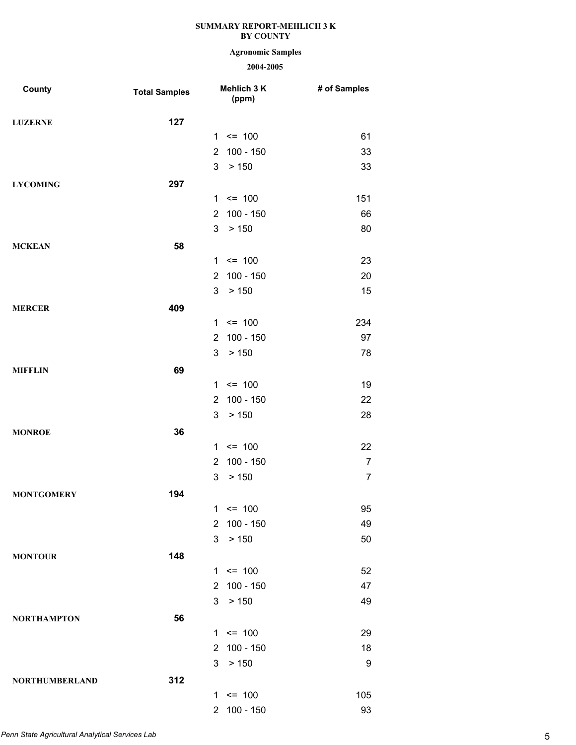## **Agronomic Samples**

| County                | <b>Total Samples</b> |                       | Mehlich 3 K<br>(ppm) | # of Samples   |
|-----------------------|----------------------|-----------------------|----------------------|----------------|
| <b>LUZERNE</b>        | 127                  |                       |                      |                |
|                       |                      |                       | $1 \le 100$          | 61             |
|                       |                      | $\overline{2}$        | $100 - 150$          | 33             |
|                       |                      | 3                     | > 150                | 33             |
| <b>LYCOMING</b>       | 297                  |                       |                      |                |
|                       |                      |                       | $1 \le 100$          | 151            |
|                       |                      | $\overline{2}$        | $100 - 150$          | 66             |
|                       |                      | 3                     | > 150                | 80             |
| <b>MCKEAN</b>         | 58                   |                       |                      |                |
|                       |                      |                       | $1 \le 100$          | 23             |
|                       |                      | $\overline{2}$        | $100 - 150$          | 20             |
|                       |                      | 3                     | > 150                | 15             |
| <b>MERCER</b>         | 409                  |                       |                      |                |
|                       |                      |                       | $1 \le 100$          | 234            |
|                       |                      | $\overline{2}$        | $100 - 150$          | 97             |
|                       |                      | 3                     | > 150                | 78             |
| <b>MIFFLIN</b>        | 69                   |                       |                      |                |
|                       |                      |                       | $1 \le 100$          | 19             |
|                       |                      | $\overline{2}$        | $100 - 150$          | 22             |
|                       |                      | 3                     | > 150                | 28             |
| <b>MONROE</b>         | 36                   |                       |                      |                |
|                       |                      |                       | $1 \le 100$          | 22             |
|                       |                      | $\overline{2}$        | $100 - 150$          | $\overline{7}$ |
|                       |                      | 3                     | > 150                | $\overline{7}$ |
| <b>MONTGOMERY</b>     | 194                  |                       |                      |                |
|                       |                      |                       | $1 \le 100$          | 95             |
|                       |                      | $\overline{2}$        | $100 - 150$          | 49             |
|                       |                      | 3                     | > 150                | 50             |
| <b>MONTOUR</b>        | 148                  |                       |                      |                |
|                       |                      |                       | $1 \le 100$          | 52             |
|                       |                      | $\mathbf{2}^{\prime}$ | 100 - 150            | 47             |
|                       |                      | 3                     | > 150                | 49             |
| <b>NORTHAMPTON</b>    | 56                   |                       |                      |                |
|                       |                      |                       | $1 \le 100$          | 29             |
|                       |                      | $\mathbf{2}$          | 100 - 150            | 18             |
|                       |                      | 3                     | > 150                | 9              |
| <b>NORTHUMBERLAND</b> | 312                  |                       |                      |                |
|                       |                      |                       | $1 \le 100$          | 105            |
|                       |                      | 2 <sup>1</sup>        | 100 - 150            | 93             |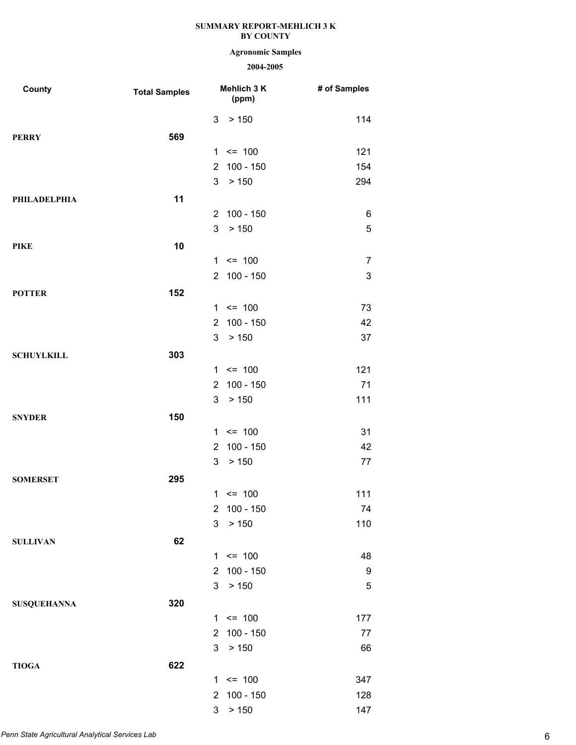## **Agronomic Samples**

| County              | <b>Total Samples</b> |                | Mehlich 3 K<br>(ppm) | # of Samples   |
|---------------------|----------------------|----------------|----------------------|----------------|
|                     |                      | 3              | > 150                | 114            |
| <b>PERRY</b>        | 569                  |                |                      |                |
|                     |                      | 1              | $= 100$              | 121            |
|                     |                      | $\overline{2}$ | 100 - 150            | 154            |
|                     |                      | 3              | > 150                | 294            |
| <b>PHILADELPHIA</b> | 11                   |                |                      |                |
|                     |                      | $\overline{2}$ | $100 - 150$          | 6              |
|                     |                      | 3              | > 150                | 5              |
| <b>PIKE</b>         | 10                   |                |                      |                |
|                     |                      |                | $1 \le 100$          | $\overline{7}$ |
|                     |                      | $2^{\circ}$    | $100 - 150$          | 3              |
| <b>POTTER</b>       | 152                  |                |                      |                |
|                     |                      | 1              | $= 100$              | 73             |
|                     |                      | $\overline{2}$ | $100 - 150$          | 42             |
|                     |                      | 3              | > 150                | 37             |
| <b>SCHUYLKILL</b>   | 303                  |                |                      |                |
|                     |                      | $\mathbf{1}$   | $= 100$              | 121            |
|                     |                      | $\overline{2}$ | $100 - 150$          | 71             |
|                     |                      | 3              | > 150                | 111            |
| <b>SNYDER</b>       | 150                  |                |                      |                |
|                     |                      | 1              | $= 100$              | 31             |
|                     |                      | 2              | $100 - 150$          | 42             |
|                     |                      | 3              | > 150                | 77             |
| <b>SOMERSET</b>     | 295                  |                |                      |                |
|                     |                      | 1              | $\leq$ 100           | 111            |
|                     |                      | 2              | $100 - 150$          | 74             |
|                     |                      | 3              | > 150                | 110            |
| <b>SULLIVAN</b>     | 62                   |                |                      |                |
|                     |                      | $\mathbf 1$    | $\leq$ 100           | 48             |
|                     |                      | $\overline{2}$ | 100 - 150            | 9              |
|                     |                      | 3              | > 150                | 5              |
| <b>SUSQUEHANNA</b>  | 320                  |                |                      |                |
|                     |                      |                | $1 \le 100$          | 177            |
|                     |                      | $\overline{2}$ | 100 - 150            | 77             |
|                     |                      | 3              | > 150                | 66             |
| <b>TIOGA</b>        | 622                  |                |                      |                |
|                     |                      |                | $1 \le 100$          | 347            |
|                     |                      | $\overline{2}$ | $100 - 150$          | 128            |
|                     |                      | 3              | > 150                | 147            |